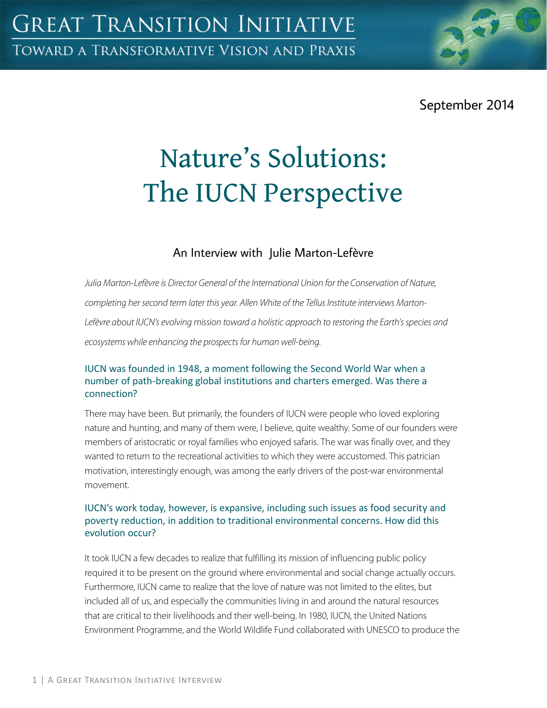September 2014

# Nature's Solutions: The IUCN Perspective

## An Interview with Julie Marton-Lefèvre

*Julia Marton-Lefèvre is Director General of the International Union for the Conservation of Nature, completing her second term later this year. Allen White of the Tellus Institute interviews Marton-Lefèvre about IUCN's evolving mission toward a holistic approach to restoring the Earth's species and ecosystems while enhancing the prospects for human well-being.*

#### IUCN was founded in 1948, a moment following the Second World War when a number of path-breaking global institutions and charters emerged. Was there a connection?

There may have been. But primarily, the founders of IUCN were people who loved exploring nature and hunting, and many of them were, I believe, quite wealthy. Some of our founders were members of aristocratic or royal families who enjoyed safaris. The war was finally over, and they wanted to return to the recreational activities to which they were accustomed. This patrician motivation, interestingly enough, was among the early drivers of the post-war environmental movement.

#### IUCN's work today, however, is expansive, including such issues as food security and poverty reduction, in addition to traditional environmental concerns. How did this evolution occur?

It took IUCN a few decades to realize that fulfilling its mission of influencing public policy required it to be present on the ground where environmental and social change actually occurs. Furthermore, IUCN came to realize that the love of nature was not limited to the elites, but included all of us, and especially the communities living in and around the natural resources that are critical to their livelihoods and their well-being. In 1980, IUCN, the United Nations Environment Programme, and the World Wildlife Fund collaborated with UNESCO to produce the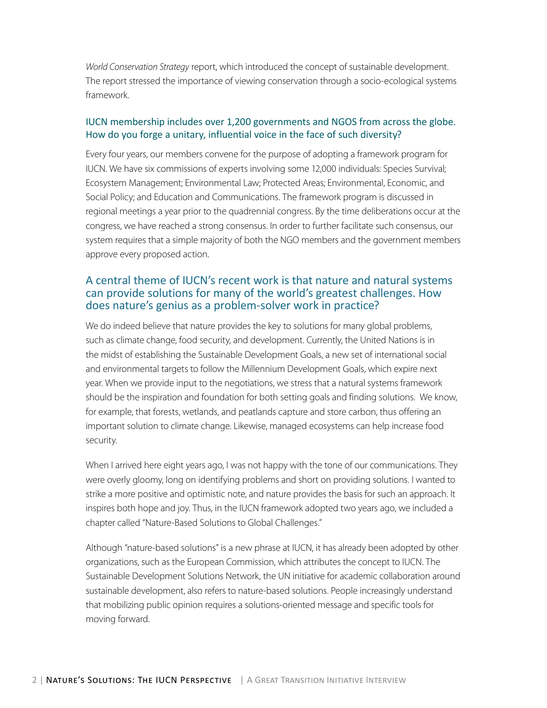*World Conservation Strategy* report, which introduced the concept of sustainable development. The report stressed the importance of viewing conservation through a socio-ecological systems framework.

#### IUCN membership includes over 1,200 governments and NGOS from across the globe. How do you forge a unitary, influential voice in the face of such diversity?

Every four years, our members convene for the purpose of adopting a framework program for IUCN. We have six commissions of experts involving some 12,000 individuals: Species Survival; Ecosystem Management; Environmental Law; Protected Areas; Environmental, Economic, and Social Policy; and Education and Communications. The framework program is discussed in regional meetings a year prior to the quadrennial congress. By the time deliberations occur at the congress, we have reached a strong consensus. In order to further facilitate such consensus, our system requires that a simple majority of both the NGO members and the government members approve every proposed action.

#### A central theme of IUCN's recent work is that nature and natural systems can provide solutions for many of the world's greatest challenges. How does nature's genius as a problem-solver work in practice?

We do indeed believe that nature provides the key to solutions for many global problems, such as climate change, food security, and development. Currently, the United Nations is in the midst of establishing the Sustainable Development Goals, a new set of international social and environmental targets to follow the Millennium Development Goals, which expire next year. When we provide input to the negotiations, we stress that a natural systems framework should be the inspiration and foundation for both setting goals and finding solutions. We know, for example, that forests, wetlands, and peatlands capture and store carbon, thus offering an important solution to climate change. Likewise, managed ecosystems can help increase food security.

When I arrived here eight years ago, I was not happy with the tone of our communications. They were overly gloomy, long on identifying problems and short on providing solutions. I wanted to strike a more positive and optimistic note, and nature provides the basis for such an approach. It inspires both hope and joy. Thus, in the IUCN framework adopted two years ago, we included a chapter called "Nature-Based Solutions to Global Challenges."

Although "nature-based solutions" is a new phrase at IUCN, it has already been adopted by other organizations, such as the European Commission, which attributes the concept to IUCN. The Sustainable Development Solutions Network, the UN initiative for academic collaboration around sustainable development, also refers to nature-based solutions. People increasingly understand that mobilizing public opinion requires a solutions-oriented message and specific tools for moving forward.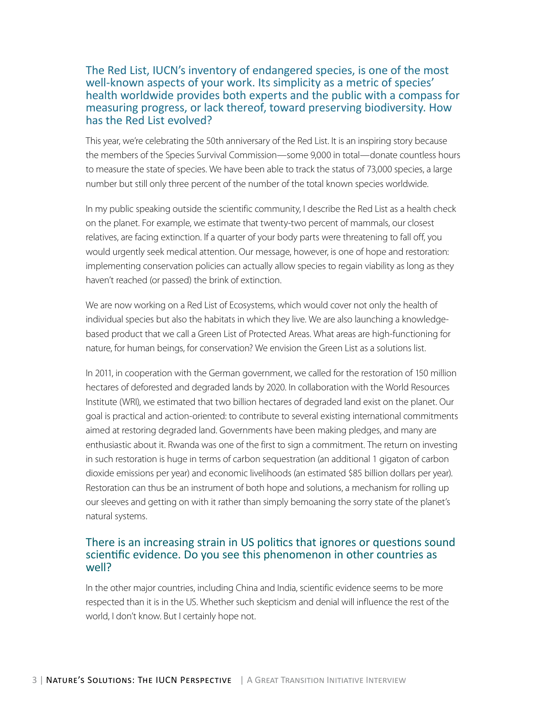#### The Red List, IUCN's inventory of endangered species, is one of the most well-known aspects of your work. Its simplicity as a metric of species' health worldwide provides both experts and the public with a compass for measuring progress, or lack thereof, toward preserving biodiversity. How has the Red List evolved?

This year, we're celebrating the 50th anniversary of the Red List. It is an inspiring story because the members of the Species Survival Commission—some 9,000 in total—donate countless hours to measure the state of species. We have been able to track the status of 73,000 species, a large number but still only three percent of the number of the total known species worldwide.

In my public speaking outside the scientific community, I describe the Red List as a health check on the planet. For example, we estimate that twenty-two percent of mammals, our closest relatives, are facing extinction. If a quarter of your body parts were threatening to fall off, you would urgently seek medical attention. Our message, however, is one of hope and restoration: implementing conservation policies can actually allow species to regain viability as long as they haven't reached (or passed) the brink of extinction.

We are now working on a Red List of Ecosystems, which would cover not only the health of individual species but also the habitats in which they live. We are also launching a knowledgebased product that we call a Green List of Protected Areas. What areas are high-functioning for nature, for human beings, for conservation? We envision the Green List as a solutions list.

In 2011, in cooperation with the German government, we called for the restoration of 150 million hectares of deforested and degraded lands by 2020. In collaboration with the World Resources Institute (WRI), we estimated that two billion hectares of degraded land exist on the planet. Our goal is practical and action-oriented: to contribute to several existing international commitments aimed at restoring degraded land. Governments have been making pledges, and many are enthusiastic about it. Rwanda was one of the first to sign a commitment. The return on investing in such restoration is huge in terms of carbon sequestration (an additional 1 gigaton of carbon dioxide emissions per year) and economic livelihoods (an estimated \$85 billion dollars per year). Restoration can thus be an instrument of both hope and solutions, a mechanism for rolling up our sleeves and getting on with it rather than simply bemoaning the sorry state of the planet's natural systems.

#### There is an increasing strain in US politics that ignores or questions sound scientific evidence. Do you see this phenomenon in other countries as well?

In the other major countries, including China and India, scientific evidence seems to be more respected than it is in the US. Whether such skepticism and denial will influence the rest of the world, I don't know. But I certainly hope not.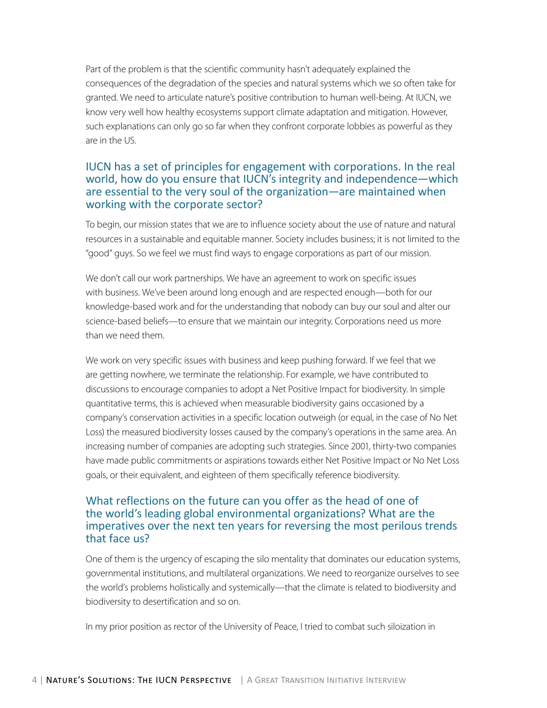Part of the problem is that the scientific community hasn't adequately explained the consequences of the degradation of the species and natural systems which we so often take for granted. We need to articulate nature's positive contribution to human well-being. At IUCN, we know very well how healthy ecosystems support climate adaptation and mitigation. However, such explanations can only go so far when they confront corporate lobbies as powerful as they are in the US.

### IUCN has a set of principles for engagement with corporations. In the real world, how do you ensure that IUCN's integrity and independence—which are essential to the very soul of the organization—are maintained when working with the corporate sector?

To begin, our mission states that we are to influence society about the use of nature and natural resources in a sustainable and equitable manner. Society includes business; it is not limited to the "good" guys. So we feel we must find ways to engage corporations as part of our mission.

We don't call our work partnerships. We have an agreement to work on specific issues with business. We've been around long enough and are respected enough—both for our knowledge-based work and for the understanding that nobody can buy our soul and alter our science-based beliefs—to ensure that we maintain our integrity. Corporations need us more than we need them.

We work on very specific issues with business and keep pushing forward. If we feel that we are getting nowhere, we terminate the relationship. For example, we have contributed to discussions to encourage companies to adopt a Net Positive Impact for biodiversity. In simple quantitative terms, this is achieved when measurable biodiversity gains occasioned by a company's conservation activities in a specific location outweigh (or equal, in the case of No Net Loss) the measured biodiversity losses caused by the company's operations in the same area. An increasing number of companies are adopting such strategies. Since 2001, thirty-two companies have made public commitments or aspirations towards either Net Positive Impact or No Net Loss goals, or their equivalent, and eighteen of them specifically reference biodiversity.

### What reflections on the future can you offer as the head of one of the world's leading global environmental organizations? What are the imperatives over the next ten years for reversing the most perilous trends that face us?

One of them is the urgency of escaping the silo mentality that dominates our education systems, governmental institutions, and multilateral organizations. We need to reorganize ourselves to see the world's problems holistically and systemically—that the climate is related to biodiversity and biodiversity to desertification and so on.

In my prior position as rector of the University of Peace, I tried to combat such siloization in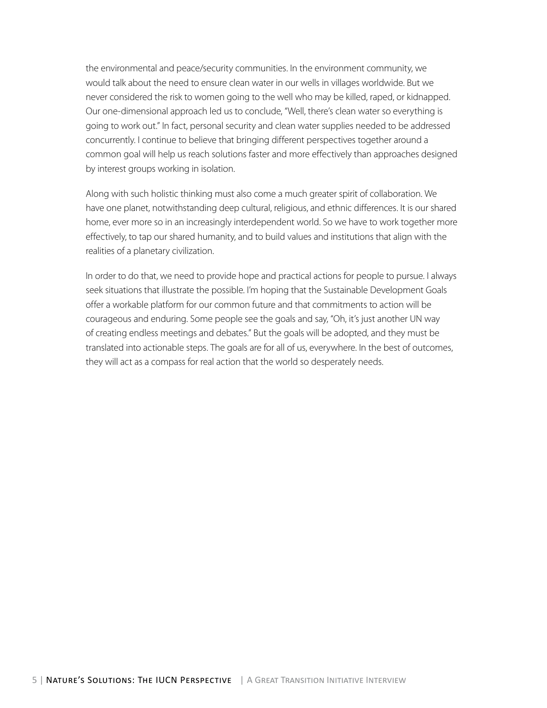the environmental and peace/security communities. In the environment community, we would talk about the need to ensure clean water in our wells in villages worldwide. But we never considered the risk to women going to the well who may be killed, raped, or kidnapped. Our one-dimensional approach led us to conclude, "Well, there's clean water so everything is going to work out." In fact, personal security and clean water supplies needed to be addressed concurrently. I continue to believe that bringing different perspectives together around a common goal will help us reach solutions faster and more effectively than approaches designed by interest groups working in isolation.

Along with such holistic thinking must also come a much greater spirit of collaboration. We have one planet, notwithstanding deep cultural, religious, and ethnic differences. It is our shared home, ever more so in an increasingly interdependent world. So we have to work together more effectively, to tap our shared humanity, and to build values and institutions that align with the realities of a planetary civilization.

In order to do that, we need to provide hope and practical actions for people to pursue. I always seek situations that illustrate the possible. I'm hoping that the Sustainable Development Goals offer a workable platform for our common future and that commitments to action will be courageous and enduring. Some people see the goals and say, "Oh, it's just another UN way of creating endless meetings and debates." But the goals will be adopted, and they must be translated into actionable steps. The goals are for all of us, everywhere. In the best of outcomes, they will act as a compass for real action that the world so desperately needs.